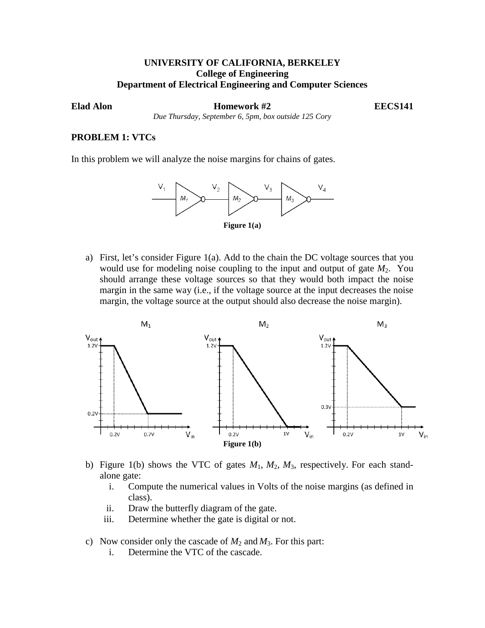## **UNIVERSITY OF CALIFORNIA, BERKELEY College of Engineering Department of Electrical Engineering and Computer Sciences**

**Example 42 ELADER EXECS141 Homework #2 EECS141** 

*Due Thursday, September 6, 5pm, box outside 125 Cory*

## **PROBLEM 1: VTCs**

In this problem we will analyze the noise margins for chains of gates.



a) First, let's consider Figure 1(a). Add to the chain the DC voltage sources that you would use for modeling noise coupling to the input and output of gate  $M_2$ . You should arrange these voltage sources so that they would both impact the noise margin in the same way (i.e., if the voltage source at the input decreases the noise margin, the voltage source at the output should also decrease the noise margin).



- b) Figure 1(b) shows the VTC of gates *M*1, *M*2, *M*3, respectively. For each standalone gate:
	- i. Compute the numerical values in Volts of the noise margins (as defined in class).
	- ii. Draw the butterfly diagram of the gate.
	- iii. Determine whether the gate is digital or not.
- c) Now consider only the cascade of  $M_2$  and  $M_3$ . For this part:
	- i. Determine the VTC of the cascade.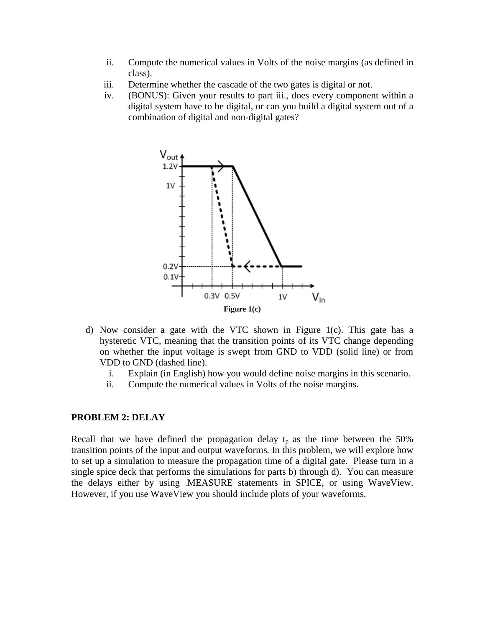- ii. Compute the numerical values in Volts of the noise margins (as defined in class).
- iii. Determine whether the cascade of the two gates is digital or not.
- iv. (BONUS): Given your results to part iii., does every component within a digital system have to be digital, or can you build a digital system out of a combination of digital and non-digital gates?



- d) Now consider a gate with the VTC shown in Figure 1(c). This gate has a hysteretic VTC, meaning that the transition points of its VTC change depending on whether the input voltage is swept from GND to VDD (solid line) or from VDD to GND (dashed line).
	- i. Explain (in English) how you would define noise margins in this scenario.
	- ii. Compute the numerical values in Volts of the noise margins.

#### **PROBLEM 2: DELAY**

Recall that we have defined the propagation delay  $t_p$  as the time between the 50% transition points of the input and output waveforms*.* In this problem, we will explore how to set up a simulation to measure the propagation time of a digital gate. Please turn in a single spice deck that performs the simulations for parts b) through d). You can measure the delays either by using .MEASURE statements in SPICE, or using WaveView. However, if you use WaveView you should include plots of your waveforms.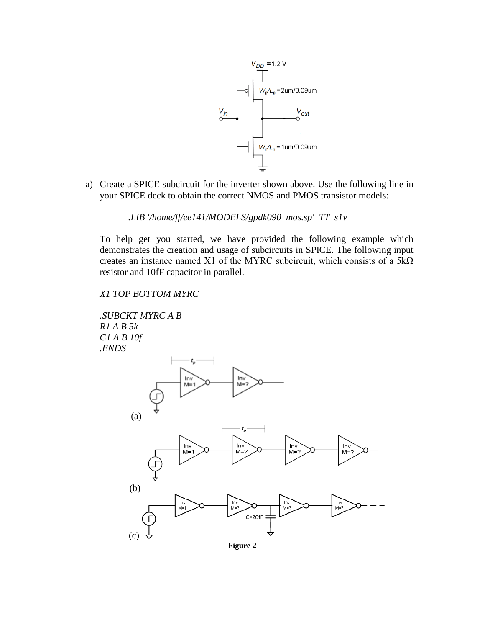

a) Create a SPICE subcircuit for the inverter shown above. Use the following line in your SPICE deck to obtain the correct NMOS and PMOS transistor models:

*.LIB '/home/ff/ee141/MODELS/gpdk090\_mos.sp' TT\_s1v*

To help get you started, we have provided the following example which demonstrates the creation and usage of subcircuits in SPICE. The following input creates an instance named X1 of the MYRC subcircuit, which consists of a  $5k\Omega$ resistor and 10fF capacitor in parallel.

# *X1 TOP BOTTOM MYRC*



**Figure 2**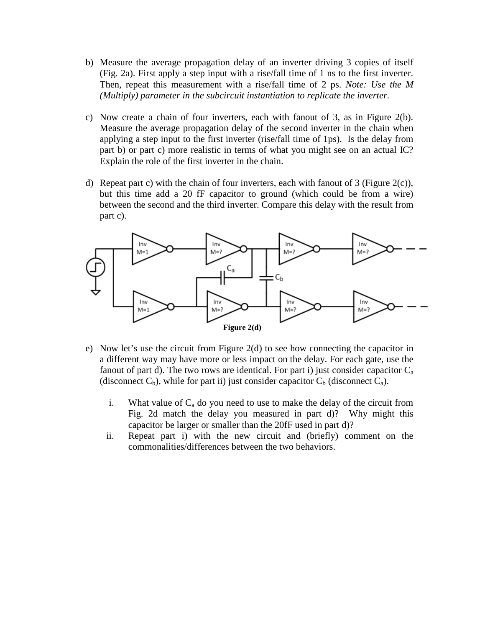- b) Measure the average propagation delay of an inverter driving 3 copies of itself (Fig. 2a). First apply a step input with a rise/fall time of 1 ns to the first inverter. Then, repeat this measurement with a rise/fall time of 2 ps. *Note: Use the M (Multiply) parameter in the subcircuit instantiation to replicate the inverter.*
- c) Now create a chain of four inverters, each with fanout of 3, as in Figure 2(b). Measure the average propagation delay of the second inverter in the chain when applying a step input to the first inverter (rise/fall time of 1ps). Is the delay from part b) or part c) more realistic in terms of what you might see on an actual IC? Explain the role of the first inverter in the chain.
- d) Repeat part c) with the chain of four inverters, each with fanout of  $3$  (Figure 2(c)), but this time add a 20 fF capacitor to ground (which could be from a wire) between the second and the third inverter. Compare this delay with the result from part c).



- e) Now let's use the circuit from Figure 2(d) to see how connecting the capacitor in a different way may have more or less impact on the delay. For each gate, use the fanout of part d). The two rows are identical. For part i) just consider capacitor  $C_a$ (disconnect  $C_b$ ), while for part ii) just consider capacitor  $C_b$  (disconnect  $C_a$ ).
	- i. What value of  $C_a$  do you need to use to make the delay of the circuit from Fig. 2d match the delay you measured in part d)? Why might this capacitor be larger or smaller than the 20fF used in part d)?
	- ii. Repeat part i) with the new circuit and (briefly) comment on the commonalities/differences between the two behaviors.